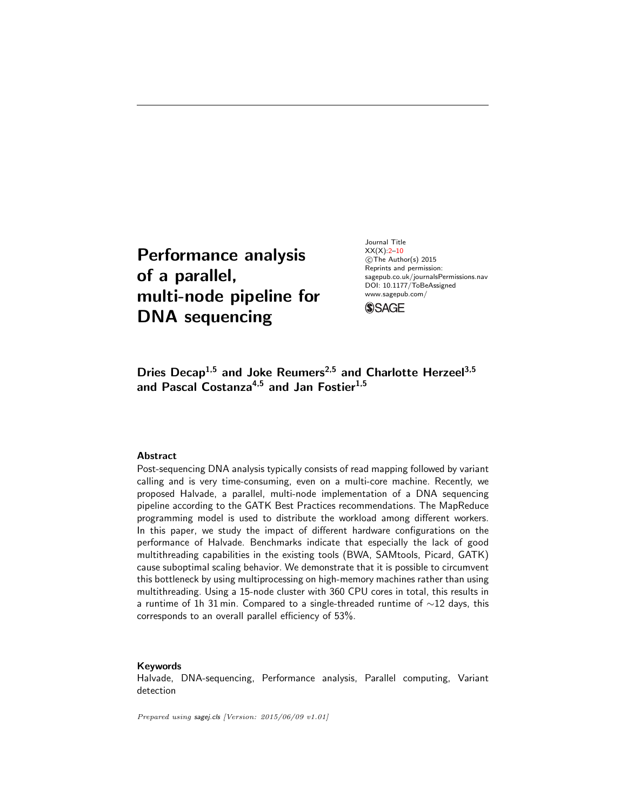# Performance analysis of a parallel, multi-node pipeline for DNA sequencing

Journal Title XX(X)[:2–](#page-0-0)[10](#page-9-0) c The Author(s) 2015 Reprints and permission: sagepub.co.uk/journalsPermissions.nav DOI: 10.1177/ToBeAssigned www.sagepub.com/

**SSAGE** 

# Dries Decap<sup>1,5</sup> and Joke Reumers<sup>2,5</sup> and Charlotte Herzeel<sup>3,5</sup> and Pascal Costanza<sup>4,5</sup> and Jan Fostier<sup>1,5</sup>

#### <span id="page-0-0"></span>Abstract

Post-sequencing DNA analysis typically consists of read mapping followed by variant calling and is very time-consuming, even on a multi-core machine. Recently, we proposed Halvade, a parallel, multi-node implementation of a DNA sequencing pipeline according to the GATK Best Practices recommendations. The MapReduce programming model is used to distribute the workload among different workers. In this paper, we study the impact of different hardware configurations on the performance of Halvade. Benchmarks indicate that especially the lack of good multithreading capabilities in the existing tools (BWA, SAMtools, Picard, GATK) cause suboptimal scaling behavior. We demonstrate that it is possible to circumvent this bottleneck by using multiprocessing on high-memory machines rather than using multithreading. Using a 15-node cluster with 360 CPU cores in total, this results in a runtime of 1h 31 min. Compared to a single-threaded runtime of ∼12 days, this corresponds to an overall parallel efficiency of 53%.

# Keywords

Halvade, DNA-sequencing, Performance analysis, Parallel computing, Variant detection

Prepared using sagej.cls [Version: 2015/06/09 v1.01]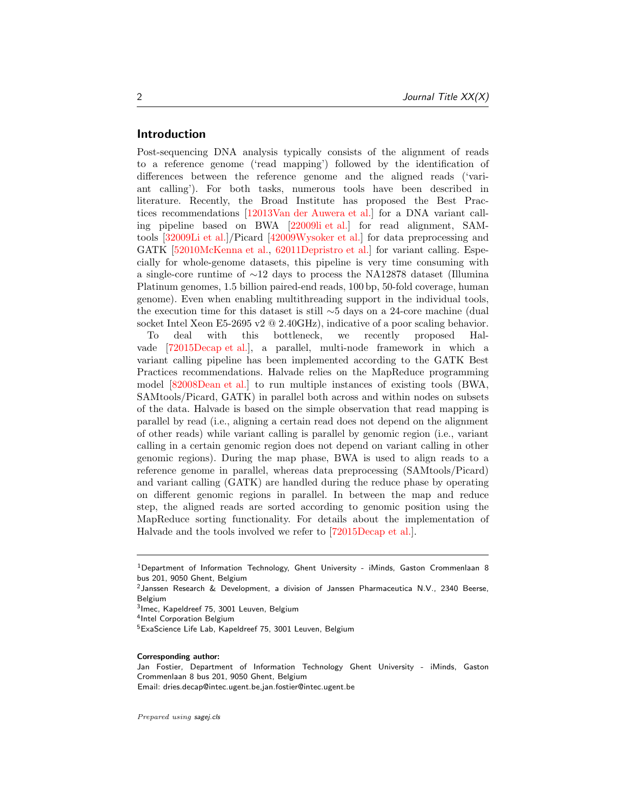#### Introduction

Post-sequencing DNA analysis typically consists of the alignment of reads to a reference genome ('read mapping') followed by the identification of differences between the reference genome and the aligned reads ('variant calling'). For both tasks, numerous tools have been described in literature. Recently, the Broad Institute has proposed the Best Practices recommendations [\[12013Van der Auwera et al.\]](#page-9-1) for a DNA variant calling pipeline based on BWA [\[22009li et al.\]](#page-9-2) for read alignment, SAMtools [\[32009Li et al.\]](#page-9-3)/Picard [\[42009Wysoker et al.\]](#page-9-4) for data preprocessing and GATK [\[52010McKenna et al.,](#page-9-5) [62011Depristro et al.\]](#page-9-6) for variant calling. Especially for whole-genome datasets, this pipeline is very time consuming with a single-core runtime of ∼12 days to process the NA12878 dataset (Illumina Platinum genomes, 1.5 billion paired-end reads, 100 bp, 50-fold coverage, human genome). Even when enabling multithreading support in the individual tools, the execution time for this dataset is still ∼5 days on a 24-core machine (dual socket Intel Xeon E5-2695 v2 @ 2.40GHz), indicative of a poor scaling behavior.

To deal with this bottleneck, we recently proposed Halvade [\[72015Decap et al.\]](#page-9-7), a parallel, multi-node framework in which a variant calling pipeline has been implemented according to the GATK Best Practices recommendations. Halvade relies on the MapReduce programming model [\[82008Dean et al.\]](#page-9-8) to run multiple instances of existing tools (BWA, SAMtools/Picard, GATK) in parallel both across and within nodes on subsets of the data. Halvade is based on the simple observation that read mapping is parallel by read (i.e., aligning a certain read does not depend on the alignment of other reads) while variant calling is parallel by genomic region (i.e., variant calling in a certain genomic region does not depend on variant calling in other genomic regions). During the map phase, BWA is used to align reads to a reference genome in parallel, whereas data preprocessing (SAMtools/Picard) and variant calling (GATK) are handled during the reduce phase by operating on different genomic regions in parallel. In between the map and reduce step, the aligned reads are sorted according to genomic position using the MapReduce sorting functionality. For details about the implementation of Halvade and the tools involved we refer to [\[72015Decap et al.\]](#page-9-7).

#### Corresponding author:

Jan Fostier, Department of Information Technology Ghent University - iMinds, Gaston Crommenlaan 8 bus 201, 9050 Ghent, Belgium Email: dries.decap@intec.ugent.be,jan.fostier@intec.ugent.be

Prepared using sagej.cls

 $1$ Department of Information Technology, Ghent University - iMinds, Gaston Crommenlaan 8 bus 201, 9050 Ghent, Belgium

<sup>&</sup>lt;sup>2</sup> Janssen Research & Development, a division of Janssen Pharmaceutica N.V., 2340 Beerse, Belgium

<sup>&</sup>lt;sup>3</sup>Imec, Kapeldreef 75, 3001 Leuven, Belgium

<sup>4</sup> Intel Corporation Belgium

<sup>5</sup>ExaScience Life Lab, Kapeldreef 75, 3001 Leuven, Belgium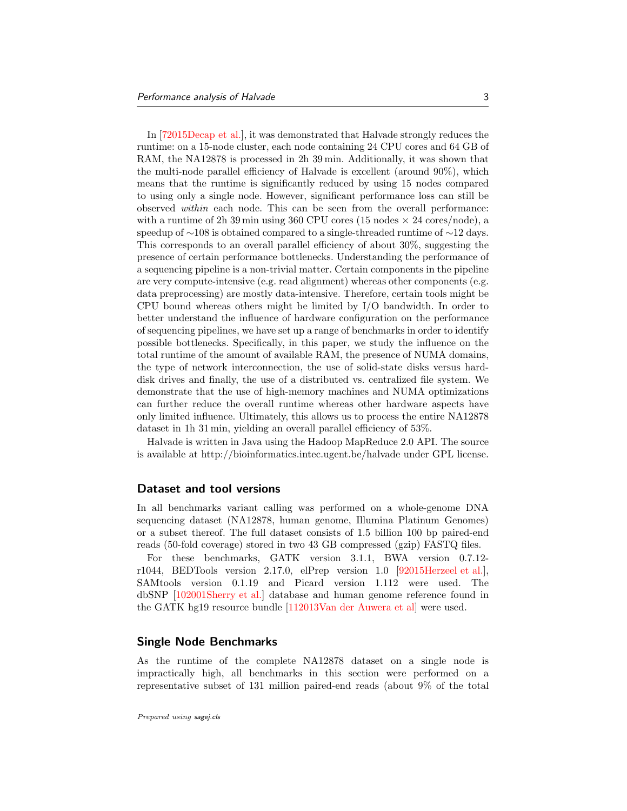In [\[72015Decap et al.\]](#page-9-7), it was demonstrated that Halvade strongly reduces the runtime: on a 15-node cluster, each node containing 24 CPU cores and 64 GB of RAM, the NA12878 is processed in 2h 39 min. Additionally, it was shown that the multi-node parallel efficiency of Halvade is excellent (around 90%), which means that the runtime is significantly reduced by using 15 nodes compared to using only a single node. However, significant performance loss can still be observed within each node. This can be seen from the overall performance: with a runtime of 2h 39 min using 360 CPU cores (15 nodes  $\times$  24 cores/node), a speedup of ∼108 is obtained compared to a single-threaded runtime of ∼12 days. This corresponds to an overall parallel efficiency of about 30%, suggesting the presence of certain performance bottlenecks. Understanding the performance of a sequencing pipeline is a non-trivial matter. Certain components in the pipeline are very compute-intensive (e.g. read alignment) whereas other components (e.g. data preprocessing) are mostly data-intensive. Therefore, certain tools might be CPU bound whereas others might be limited by I/O bandwidth. In order to better understand the influence of hardware configuration on the performance of sequencing pipelines, we have set up a range of benchmarks in order to identify possible bottlenecks. Specifically, in this paper, we study the influence on the total runtime of the amount of available RAM, the presence of NUMA domains, the type of network interconnection, the use of solid-state disks versus harddisk drives and finally, the use of a distributed vs. centralized file system. We demonstrate that the use of high-memory machines and NUMA optimizations can further reduce the overall runtime whereas other hardware aspects have only limited influence. Ultimately, this allows us to process the entire NA12878 dataset in 1h 31 min, yielding an overall parallel efficiency of 53%.

Halvade is written in Java using the Hadoop MapReduce 2.0 API. The source is available at http://bioinformatics.intec.ugent.be/halvade under GPL license.

### Dataset and tool versions

In all benchmarks variant calling was performed on a whole-genome DNA sequencing dataset (NA12878, human genome, Illumina Platinum Genomes) or a subset thereof. The full dataset consists of 1.5 billion 100 bp paired-end reads (50-fold coverage) stored in two 43 GB compressed (gzip) FASTQ files.

For these benchmarks, GATK version 3.1.1, BWA version 0.7.12 r1044, BEDTools version 2.17.0, elPrep version 1.0 [\[92015Herzeel et al.\]](#page-9-9), SAMtools version 0.1.19 and Picard version 1.112 were used. The dbSNP [\[102001Sherry et al.\]](#page-9-10) database and human genome reference found in the GATK hg19 resource bundle [\[112013Van der Auwera et al\]](#page-9-11) were used.

# Single Node Benchmarks

As the runtime of the complete NA12878 dataset on a single node is impractically high, all benchmarks in this section were performed on a representative subset of 131 million paired-end reads (about 9% of the total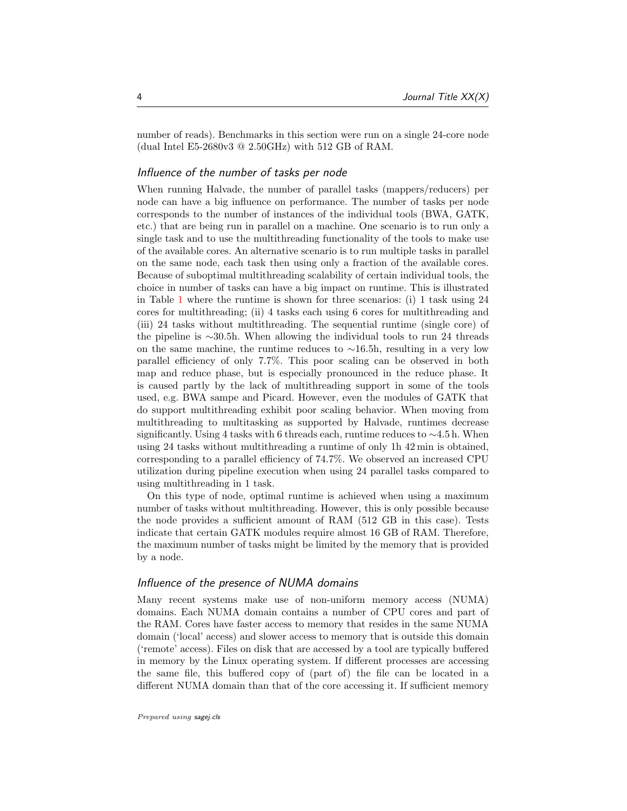number of reads). Benchmarks in this section were run on a single 24-core node (dual Intel E5-2680v3 @ 2.50GHz) with 512 GB of RAM.

#### Influence of the number of tasks per node

When running Halvade, the number of parallel tasks (mappers/reducers) per node can have a big influence on performance. The number of tasks per node corresponds to the number of instances of the individual tools (BWA, GATK, etc.) that are being run in parallel on a machine. One scenario is to run only a single task and to use the multithreading functionality of the tools to make use of the available cores. An alternative scenario is to run multiple tasks in parallel on the same node, each task then using only a fraction of the available cores. Because of suboptimal multithreading scalability of certain individual tools, the choice in number of tasks can have a big impact on runtime. This is illustrated in Table [1](#page-4-0) where the runtime is shown for three scenarios: (i) 1 task using 24 cores for multithreading; (ii) 4 tasks each using 6 cores for multithreading and (iii) 24 tasks without multithreading. The sequential runtime (single core) of the pipeline is ∼30.5h. When allowing the individual tools to run 24 threads on the same machine, the runtime reduces to ∼16.5h, resulting in a very low parallel efficiency of only 7.7%. This poor scaling can be observed in both map and reduce phase, but is especially pronounced in the reduce phase. It is caused partly by the lack of multithreading support in some of the tools used, e.g. BWA sampe and Picard. However, even the modules of GATK that do support multithreading exhibit poor scaling behavior. When moving from multithreading to multitasking as supported by Halvade, runtimes decrease significantly. Using 4 tasks with 6 threads each, runtime reduces to ∼4.5 h. When using 24 tasks without multithreading a runtime of only 1h 42 min is obtained, corresponding to a parallel efficiency of 74.7%. We observed an increased CPU utilization during pipeline execution when using 24 parallel tasks compared to using multithreading in 1 task.

On this type of node, optimal runtime is achieved when using a maximum number of tasks without multithreading. However, this is only possible because the node provides a sufficient amount of RAM (512 GB in this case). Tests indicate that certain GATK modules require almost 16 GB of RAM. Therefore, the maximum number of tasks might be limited by the memory that is provided by a node.

#### Influence of the presence of NUMA domains

Many recent systems make use of non-uniform memory access (NUMA) domains. Each NUMA domain contains a number of CPU cores and part of the RAM. Cores have faster access to memory that resides in the same NUMA domain ('local' access) and slower access to memory that is outside this domain ('remote' access). Files on disk that are accessed by a tool are typically buffered in memory by the Linux operating system. If different processes are accessing the same file, this buffered copy of (part of) the file can be located in a different NUMA domain than that of the core accessing it. If sufficient memory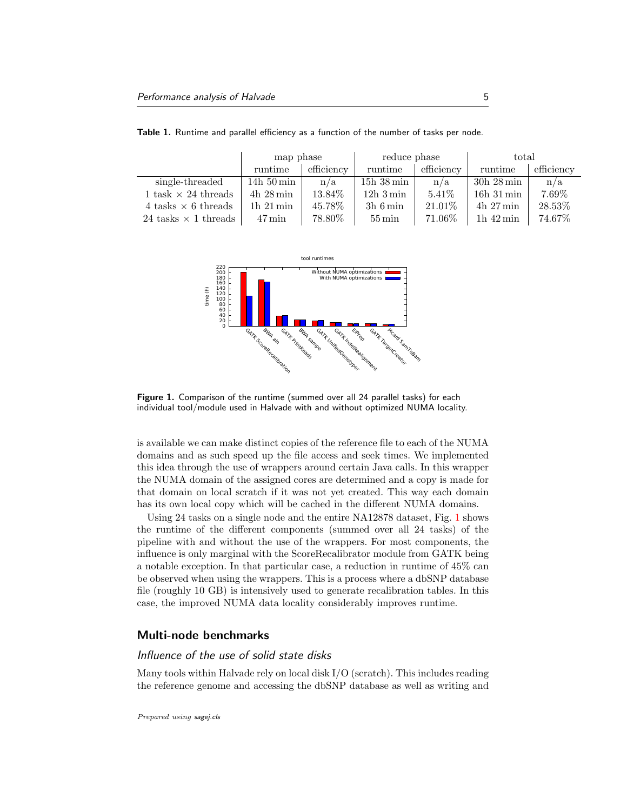<span id="page-4-0"></span>Table 1. Runtime and parallel efficiency as a function of the number of tasks per node.

|                             | map phase                |            | reduce phase           |            | total                   |            |
|-----------------------------|--------------------------|------------|------------------------|------------|-------------------------|------------|
|                             | runtime                  | efficiency | runtime                | efficiency | runtime                 | efficiency |
| single-threaded             | $14h\,50\,\mathrm{min}$  | n/a        | $15h$ 38 min           | n/a        | $30h\ 28\,\mathrm{min}$ | n/a        |
| 1 task $\times$ 24 threads  | $4h$ 28 min              | 13.84%     | $12h\ 3\,\mathrm{min}$ | $5.41\%$   | $16h$ 31 min            | 7.69%      |
| 4 tasks $\times$ 6 threads  | $1h$ $21 \,\mathrm{min}$ | 45.78%     | $3h\ 6min$             | 21.01\%    | $4h$ 27 min             | 28.53%     |
| 24 tasks $\times$ 1 threads | $47 \,\mathrm{min}$      | 78.80%     | $55 \,\mathrm{min}$    | 71.06\%    | $1h$ 42 min             | 74.67%     |

<span id="page-4-1"></span>

Figure 1. Comparison of the runtime (summed over all 24 parallel tasks) for each individual tool/module used in Halvade with and without optimized NUMA locality.

is available we can make distinct copies of the reference file to each of the NUMA domains and as such speed up the file access and seek times. We implemented this idea through the use of wrappers around certain Java calls. In this wrapper the NUMA domain of the assigned cores are determined and a copy is made for that domain on local scratch if it was not yet created. This way each domain has its own local copy which will be cached in the different NUMA domains.

Using 24 tasks on a single node and the entire NA12878 dataset, Fig. [1](#page-4-1) shows the runtime of the different components (summed over all 24 tasks) of the pipeline with and without the use of the wrappers. For most components, the influence is only marginal with the ScoreRecalibrator module from GATK being a notable exception. In that particular case, a reduction in runtime of 45% can be observed when using the wrappers. This is a process where a dbSNP database file (roughly 10 GB) is intensively used to generate recalibration tables. In this case, the improved NUMA data locality considerably improves runtime.

# Multi-node benchmarks

# Influence of the use of solid state disks

Many tools within Halvade rely on local disk I/O (scratch). This includes reading the reference genome and accessing the dbSNP database as well as writing and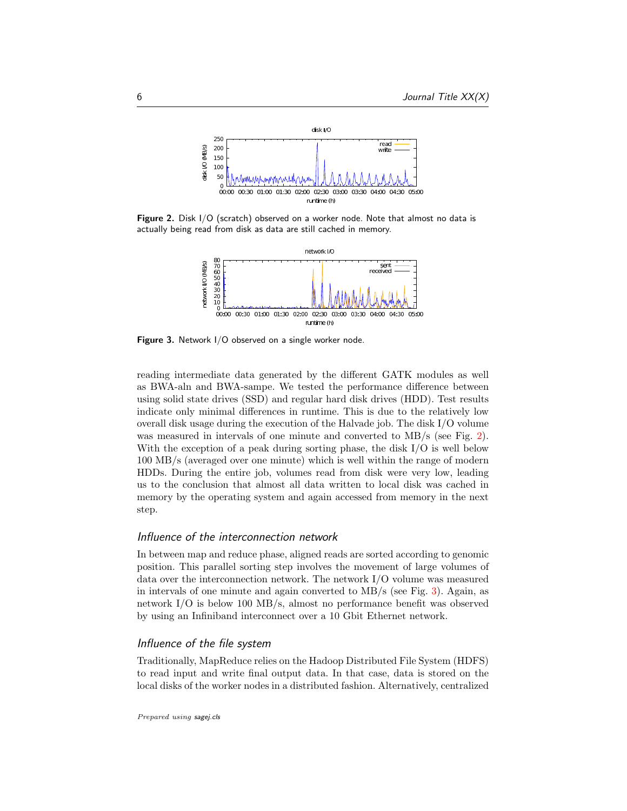<span id="page-5-0"></span>

<span id="page-5-1"></span>Figure 2. Disk I/O (scratch) observed on a worker node. Note that almost no data is actually being read from disk as data are still cached in memory.



Figure 3. Network I/O observed on a single worker node.

reading intermediate data generated by the different GATK modules as well as BWA-aln and BWA-sampe. We tested the performance difference between using solid state drives (SSD) and regular hard disk drives (HDD). Test results indicate only minimal differences in runtime. This is due to the relatively low overall disk usage during the execution of the Halvade job. The disk I/O volume was measured in intervals of one minute and converted to MB/s (see Fig. [2\)](#page-5-0). With the exception of a peak during sorting phase, the disk I/O is well below 100 MB/s (averaged over one minute) which is well within the range of modern HDDs. During the entire job, volumes read from disk were very low, leading us to the conclusion that almost all data written to local disk was cached in memory by the operating system and again accessed from memory in the next step.

# Influence of the interconnection network

In between map and reduce phase, aligned reads are sorted according to genomic position. This parallel sorting step involves the movement of large volumes of data over the interconnection network. The network I/O volume was measured in intervals of one minute and again converted to MB/s (see Fig. [3\)](#page-5-1). Again, as network I/O is below 100 MB/s, almost no performance benefit was observed by using an Infiniband interconnect over a 10 Gbit Ethernet network.

#### Influence of the file system

Traditionally, MapReduce relies on the Hadoop Distributed File System (HDFS) to read input and write final output data. In that case, data is stored on the local disks of the worker nodes in a distributed fashion. Alternatively, centralized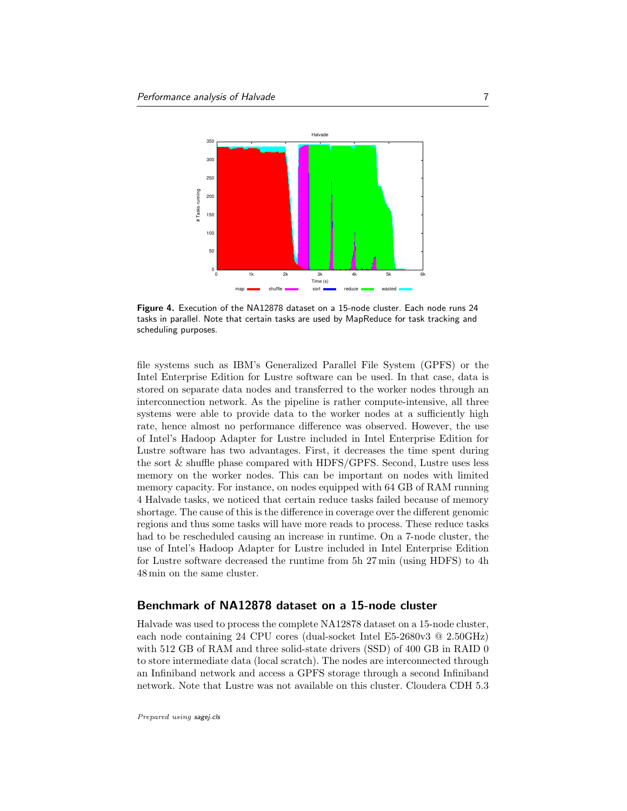<span id="page-6-0"></span>

Figure 4. Execution of the NA12878 dataset on a 15-node cluster. Each node runs 24 tasks in parallel. Note that certain tasks are used by MapReduce for task tracking and scheduling purposes.

file systems such as IBM's Generalized Parallel File System (GPFS) or the Intel Enterprise Edition for Lustre software can be used. In that case, data is stored on separate data nodes and transferred to the worker nodes through an interconnection network. As the pipeline is rather compute-intensive, all three systems were able to provide data to the worker nodes at a sufficiently high rate, hence almost no performance difference was observed. However, the use of Intel's Hadoop Adapter for Lustre included in Intel Enterprise Edition for Lustre software has two advantages. First, it decreases the time spent during the sort & shuffle phase compared with HDFS/GPFS. Second, Lustre uses less memory on the worker nodes. This can be important on nodes with limited memory capacity. For instance, on nodes equipped with 64 GB of RAM running 4 Halvade tasks, we noticed that certain reduce tasks failed because of memory shortage. The cause of this is the difference in coverage over the different genomic regions and thus some tasks will have more reads to process. These reduce tasks had to be rescheduled causing an increase in runtime. On a 7-node cluster, the use of Intel's Hadoop Adapter for Lustre included in Intel Enterprise Edition for Lustre software decreased the runtime from 5h 27 min (using HDFS) to 4h 48 min on the same cluster.

### Benchmark of NA12878 dataset on a 15-node cluster

Halvade was used to process the complete NA12878 dataset on a 15-node cluster, each node containing 24 CPU cores (dual-socket Intel E5-2680v3 @ 2.50GHz) with 512 GB of RAM and three solid-state drivers (SSD) of 400 GB in RAID 0 to store intermediate data (local scratch). The nodes are interconnected through an Infiniband network and access a GPFS storage through a second Infiniband network. Note that Lustre was not available on this cluster. Cloudera CDH 5.3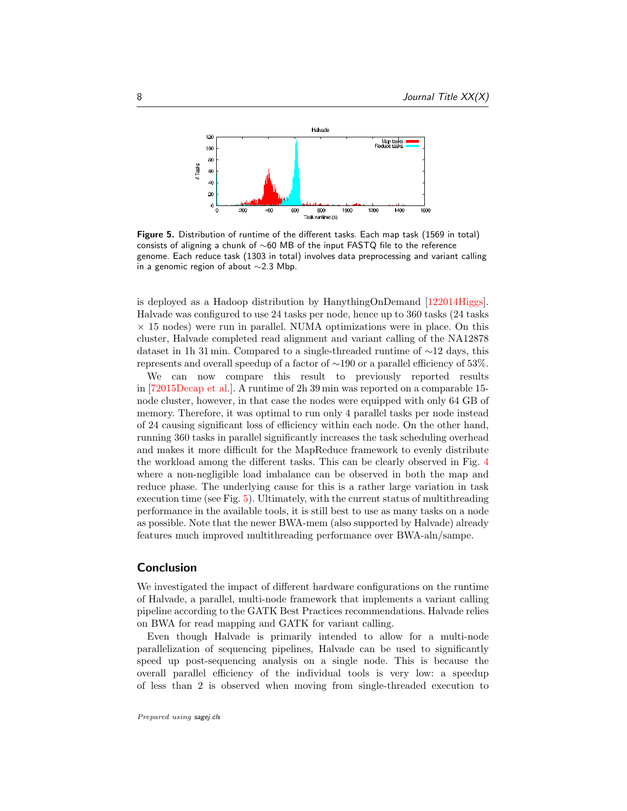<span id="page-7-0"></span>

Figure 5. Distribution of runtime of the different tasks. Each map task (1569 in total) consists of aligning a chunk of ∼60 MB of the input FASTQ file to the reference genome. Each reduce task (1303 in total) involves data preprocessing and variant calling in a genomic region of about ∼2.3 Mbp.

is deployed as a Hadoop distribution by HanythingOnDemand [\[122014Higgs\]](#page-9-12). Halvade was configured to use 24 tasks per node, hence up to 360 tasks (24 tasks  $\times$  15 nodes) were run in parallel. NUMA optimizations were in place. On this cluster, Halvade completed read alignment and variant calling of the NA12878 dataset in 1h 31 min. Compared to a single-threaded runtime of ∼12 days, this represents and overall speedup of a factor of ∼190 or a parallel efficiency of 53%.

We can now compare this result to previously reported results in [\[72015Decap et al.\]](#page-9-7). A runtime of 2h 39 min was reported on a comparable 15 node cluster, however, in that case the nodes were equipped with only 64 GB of memory. Therefore, it was optimal to run only 4 parallel tasks per node instead of 24 causing significant loss of efficiency within each node. On the other hand, running 360 tasks in parallel significantly increases the task scheduling overhead and makes it more difficult for the MapReduce framework to evenly distribute the workload among the different tasks. This can be clearly observed in Fig. [4](#page-6-0) where a non-negligible load imbalance can be observed in both the map and reduce phase. The underlying cause for this is a rather large variation in task execution time (see Fig. [5\)](#page-7-0). Ultimately, with the current status of multithreading performance in the available tools, it is still best to use as many tasks on a node as possible. Note that the newer BWA-mem (also supported by Halvade) already features much improved multithreading performance over BWA-aln/sampe.

# Conclusion

We investigated the impact of different hardware configurations on the runtime of Halvade, a parallel, multi-node framework that implements a variant calling pipeline according to the GATK Best Practices recommendations. Halvade relies on BWA for read mapping and GATK for variant calling.

Even though Halvade is primarily intended to allow for a multi-node parallelization of sequencing pipelines, Halvade can be used to significantly speed up post-sequencing analysis on a single node. This is because the overall parallel efficiency of the individual tools is very low: a speedup of less than 2 is observed when moving from single-threaded execution to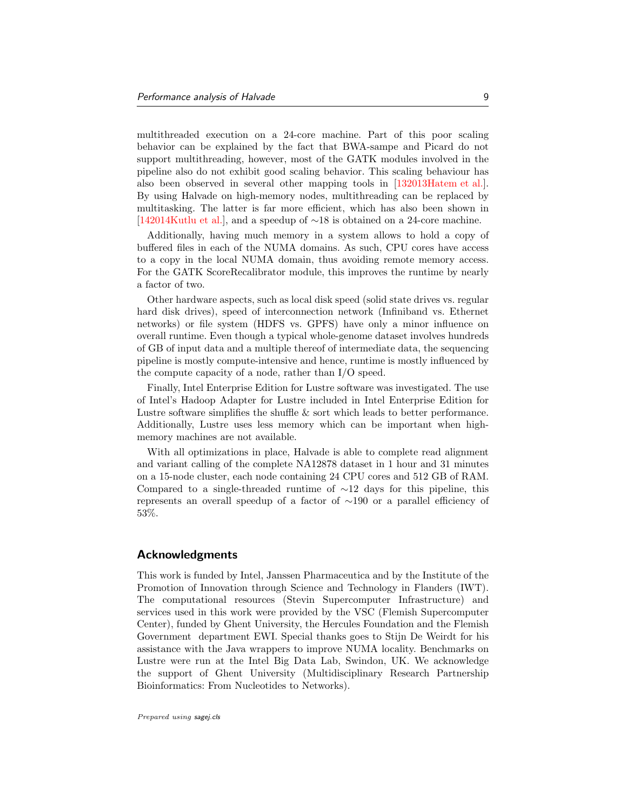multithreaded execution on a 24-core machine. Part of this poor scaling behavior can be explained by the fact that BWA-sampe and Picard do not support multithreading, however, most of the GATK modules involved in the pipeline also do not exhibit good scaling behavior. This scaling behaviour has also been observed in several other mapping tools in [\[132013Hatem et al.\]](#page-10-0). By using Halvade on high-memory nodes, multithreading can be replaced by multitasking. The latter is far more efficient, which has also been shown in [\[142014Kutlu et al.\]](#page-10-1), and a speedup of ∼18 is obtained on a 24-core machine.

Additionally, having much memory in a system allows to hold a copy of buffered files in each of the NUMA domains. As such, CPU cores have access to a copy in the local NUMA domain, thus avoiding remote memory access. For the GATK ScoreRecalibrator module, this improves the runtime by nearly a factor of two.

Other hardware aspects, such as local disk speed (solid state drives vs. regular hard disk drives), speed of interconnection network (Infiniband vs. Ethernet networks) or file system (HDFS vs. GPFS) have only a minor influence on overall runtime. Even though a typical whole-genome dataset involves hundreds of GB of input data and a multiple thereof of intermediate data, the sequencing pipeline is mostly compute-intensive and hence, runtime is mostly influenced by the compute capacity of a node, rather than I/O speed.

Finally, Intel Enterprise Edition for Lustre software was investigated. The use of Intel's Hadoop Adapter for Lustre included in Intel Enterprise Edition for Lustre software simplifies the shuffle & sort which leads to better performance. Additionally, Lustre uses less memory which can be important when highmemory machines are not available.

With all optimizations in place, Halvade is able to complete read alignment and variant calling of the complete NA12878 dataset in 1 hour and 31 minutes on a 15-node cluster, each node containing 24 CPU cores and 512 GB of RAM. Compared to a single-threaded runtime of  $\sim$ 12 days for this pipeline, this represents an overall speedup of a factor of ∼190 or a parallel efficiency of 53%.

# Acknowledgments

This work is funded by Intel, Janssen Pharmaceutica and by the Institute of the Promotion of Innovation through Science and Technology in Flanders (IWT). The computational resources (Stevin Supercomputer Infrastructure) and services used in this work were provided by the VSC (Flemish Supercomputer Center), funded by Ghent University, the Hercules Foundation and the Flemish Government department EWI. Special thanks goes to Stijn De Weirdt for his assistance with the Java wrappers to improve NUMA locality. Benchmarks on Lustre were run at the Intel Big Data Lab, Swindon, UK. We acknowledge the support of Ghent University (Multidisciplinary Research Partnership Bioinformatics: From Nucleotides to Networks).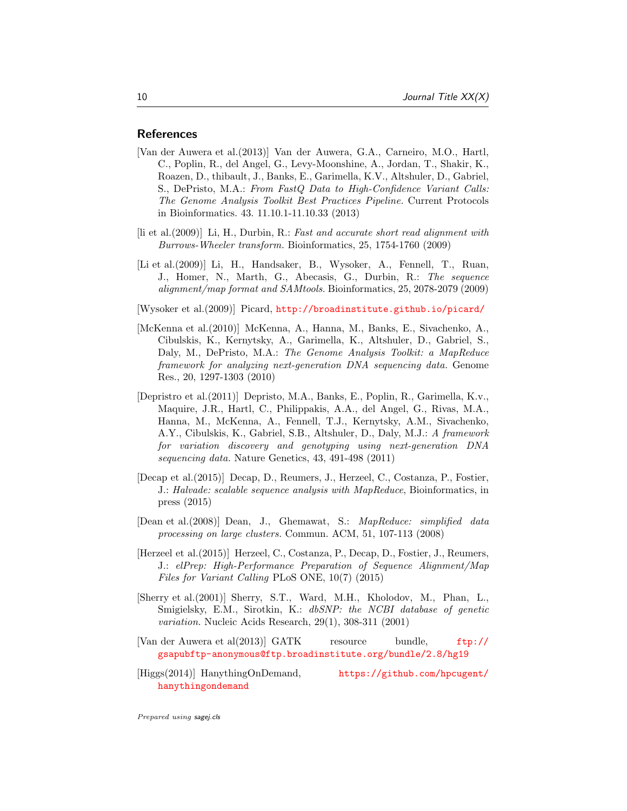### <span id="page-9-0"></span>References

- <span id="page-9-1"></span>[Van der Auwera et al.(2013)] Van der Auwera, G.A., Carneiro, M.O., Hartl, C., Poplin, R., del Angel, G., Levy-Moonshine, A., Jordan, T., Shakir, K., Roazen, D., thibault, J., Banks, E., Garimella, K.V., Altshuler, D., Gabriel, S., DePristo, M.A.: From FastQ Data to High-Confidence Variant Calls: The Genome Analysis Toolkit Best Practices Pipeline. Current Protocols in Bioinformatics. 43. 11.10.1-11.10.33 (2013)
- <span id="page-9-2"></span>[li et al.(2009)] Li, H., Durbin, R.: Fast and accurate short read alignment with Burrows-Wheeler transform. Bioinformatics, 25, 1754-1760 (2009)
- <span id="page-9-3"></span>[Li et al.(2009)] Li, H., Handsaker, B., Wysoker, A., Fennell, T., Ruan, J., Homer, N., Marth, G., Abecasis, G., Durbin, R.: The sequence alignment/map format and SAMtools. Bioinformatics, 25, 2078-2079 (2009)
- <span id="page-9-4"></span>[Wysoker et al.(2009)] Picard, <http://broadinstitute.github.io/picard/>
- <span id="page-9-5"></span>[McKenna et al.(2010)] McKenna, A., Hanna, M., Banks, E., Sivachenko, A., Cibulskis, K., Kernytsky, A., Garimella, K., Altshuler, D., Gabriel, S., Daly, M., DePristo, M.A.: The Genome Analysis Toolkit: a MapReduce framework for analyzing next-generation DNA sequencing data. Genome Res., 20, 1297-1303 (2010)
- <span id="page-9-6"></span>[Depristro et al.(2011)] Depristo, M.A., Banks, E., Poplin, R., Garimella, K.v., Maquire, J.R., Hartl, C., Philippakis, A.A., del Angel, G., Rivas, M.A., Hanna, M., McKenna, A., Fennell, T.J., Kernytsky, A.M., Sivachenko, A.Y., Cibulskis, K., Gabriel, S.B., Altshuler, D., Daly, M.J.: A framework for variation discovery and genotyping using next-generation DNA sequencing data. Nature Genetics, 43, 491-498 (2011)
- <span id="page-9-7"></span>[Decap et al.(2015)] Decap, D., Reumers, J., Herzeel, C., Costanza, P., Fostier, J.: Halvade: scalable sequence analysis with MapReduce, Bioinformatics, in press (2015)
- <span id="page-9-8"></span>[Dean et al.(2008)] Dean, J., Ghemawat, S.: MapReduce: simplified data processing on large clusters. Commun. ACM, 51, 107-113 (2008)
- <span id="page-9-9"></span>[Herzeel et al.(2015)] Herzeel, C., Costanza, P., Decap, D., Fostier, J., Reumers, J.: elPrep: High-Performance Preparation of Sequence Alignment/Map Files for Variant Calling PLoS ONE, 10(7) (2015)
- <span id="page-9-10"></span>[Sherry et al.(2001)] Sherry, S.T., Ward, M.H., Kholodov, M., Phan, L., Smigielsky, E.M., Sirotkin, K.: dbSNP: the NCBI database of genetic variation. Nucleic Acids Research, 29(1), 308-311 (2001)
- <span id="page-9-11"></span>[Van der Auwera et al(2013)] GATK resource bundle, [ftp://](ftp://gsapubftp-anonymous@ftp.broadinstitute.org/bundle/2.8/hg19) [gsapubftp-anonymous@ftp.broadinstitute.org/bundle/2.8/hg19](ftp://gsapubftp-anonymous@ftp.broadinstitute.org/bundle/2.8/hg19)
- <span id="page-9-12"></span>[Higgs(2014)] HanythingOnDemand, [https://github.com/hpcugent/](https://github.com/hpcugent/hanythingondemand) [hanythingondemand](https://github.com/hpcugent/hanythingondemand)

Prepared using sagej.cls